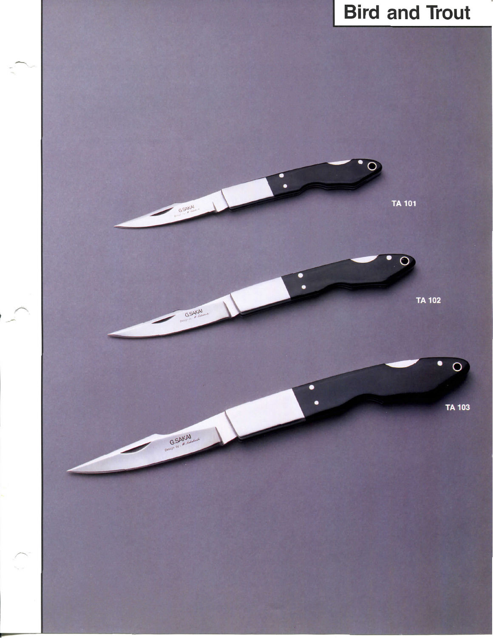